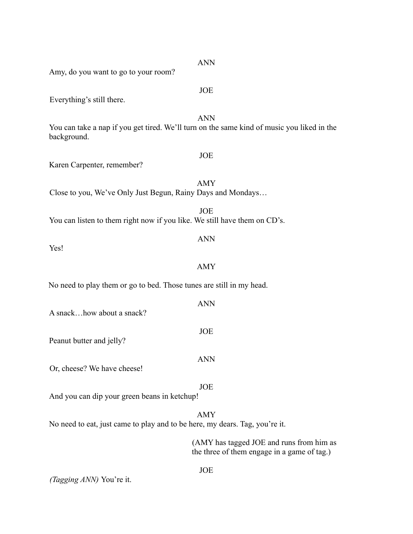| Amy, do you want to go to your room?                                        |                                                                                                          |
|-----------------------------------------------------------------------------|----------------------------------------------------------------------------------------------------------|
| Everything's still there.                                                   | <b>JOE</b>                                                                                               |
| background.                                                                 | <b>ANN</b><br>You can take a nap if you get tired. We'll turn on the same kind of music you liked in the |
| Karen Carpenter, remember?                                                  | <b>JOE</b>                                                                                               |
| Close to you, We've Only Just Begun, Rainy Days and Mondays                 | <b>AMY</b>                                                                                               |
| You can listen to them right now if you like. We still have them on CD's.   | <b>JOE</b>                                                                                               |
| Yes!                                                                        | <b>ANN</b>                                                                                               |
|                                                                             | <b>AMY</b>                                                                                               |
| No need to play them or go to bed. Those tunes are still in my head.        |                                                                                                          |
| A snackhow about a snack?                                                   | <b>ANN</b>                                                                                               |
| Peanut butter and jelly?                                                    | JOE                                                                                                      |
| Or, cheese? We have cheese!                                                 | <b>ANN</b>                                                                                               |
| And you can dip your green beans in ketchup!                                | <b>JOE</b>                                                                                               |
| No need to eat, just came to play and to be here, my dears. Tag, you're it. | <b>AMY</b>                                                                                               |
|                                                                             | (AMY has tagged JOE and runs from him as<br>the three of them engage in a game of tag.)                  |

JOE

*(Tagging ANN)* You're it.

ANN